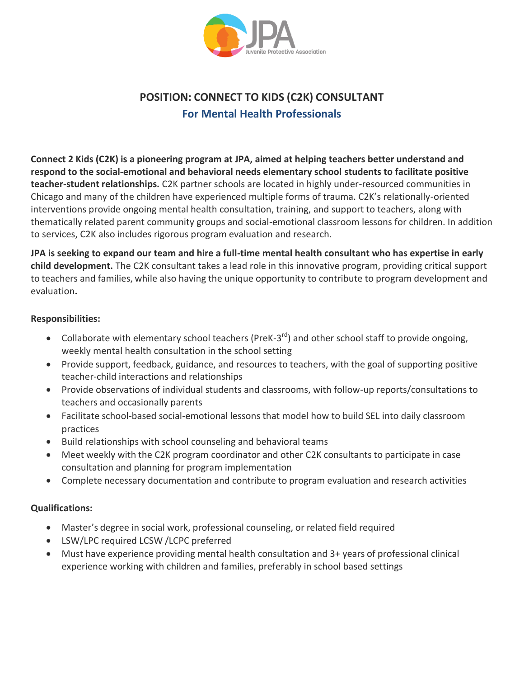

# **POSITION: CONNECT TO KIDS (C2K) CONSULTANT For Mental Health Professionals**

**Connect 2 Kids (C2K) is a pioneering program at JPA, aimed at helping teachers better understand and respond to the social-emotional and behavioral needs elementary school students to facilitate positive teacher-student relationships.** C2K partner schools are located in highly under-resourced communities in Chicago and many of the children have experienced multiple forms of trauma. C2K's relationally-oriented interventions provide ongoing mental health consultation, training, and support to teachers, along with thematically related parent community groups and social-emotional classroom lessons for children. In addition to services, C2K also includes rigorous program evaluation and research.

**JPA is seeking to expand our team and hire a full-time mental health consultant who has expertise in early child development.** The C2K consultant takes a lead role in this innovative program, providing critical support to teachers and families, while also having the unique opportunity to contribute to program development and evaluation**.**

#### **Responsibilities:**

- Collaborate with elementary school teachers (PreK-3<sup>rd</sup>) and other school staff to provide ongoing, weekly mental health consultation in the school setting
- Provide support, feedback, guidance, and resources to teachers, with the goal of supporting positive teacher-child interactions and relationships
- Provide observations of individual students and classrooms, with follow-up reports/consultations to teachers and occasionally parents
- Facilitate school-based social-emotional lessons that model how to build SEL into daily classroom practices
- Build relationships with school counseling and behavioral teams
- Meet weekly with the C2K program coordinator and other C2K consultants to participate in case consultation and planning for program implementation
- Complete necessary documentation and contribute to program evaluation and research activities

### **Qualifications:**

- Master's degree in social work, professional counseling, or related field required
- LSW/LPC required LCSW /LCPC preferred
- Must have experience providing mental health consultation and 3+ years of professional clinical experience working with children and families, preferably in school based settings